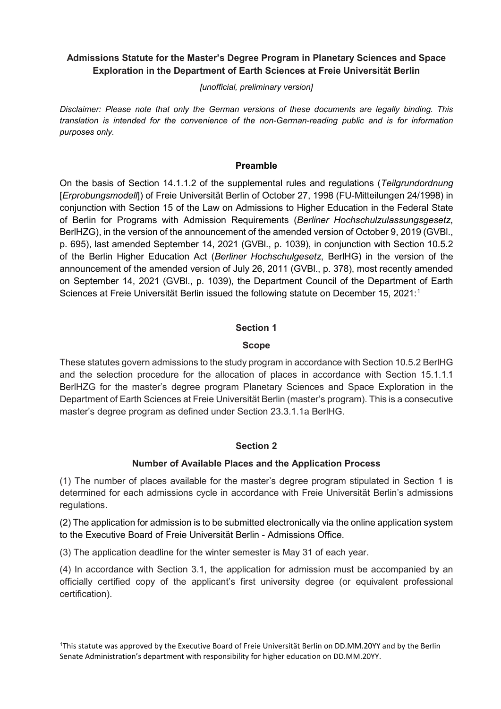# **Admissions Statute for the Master's Degree Program in Planetary Sciences and Space Exploration in the Department of Earth Sciences at Freie Universität Berlin**

*[unofficial, preliminary version]*

*Disclaimer: Please note that only the German versions of these documents are legally binding. This translation is intended for the convenience of the non-German-reading public and is for information purposes only.*

#### **Preamble**

On the basis of Section 14.1.1.2 of the supplemental rules and regulations (*Teilgrundordnung* [*Erprobungsmodell*]) of Freie Universität Berlin of October 27, 1998 (FU-Mitteilungen 24/1998) in conjunction with Section 15 of the Law on Admissions to Higher Education in the Federal State of Berlin for Programs with Admission Requirements (*Berliner Hochschulzulassungsgesetz*, BerlHZG), in the version of the announcement of the amended version of October 9, 2019 (GVBl., p. 695), last amended September 14, 2021 (GVBl., p. 1039), in conjunction with Section 10.5.2 of the Berlin Higher Education Act (*Berliner Hochschulgesetz*, BerlHG) in the version of the announcement of the amended version of July 26, 2011 (GVBl., p. 378), most recently amended on September 14, 2021 (GVBl., p. 1039), the Department Council of the Department of Earth Sciences at Freie Universität Berlin issued the following statute on December 15, 2021: [1](#page-0-0)

## **Section 1**

## **Scope**

These statutes govern admissions to the study program in accordance with Section 10.5.2 BerlHG and the selection procedure for the allocation of places in accordance with Section 15.1.1.1 BerlHZG for the master's degree program Planetary Sciences and Space Exploration in the Department of Earth Sciences at Freie Universität Berlin (master's program). This is a consecutive master's degree program as defined under Section 23.3.1.1a BerlHG.

# **Section 2**

#### **Number of Available Places and the Application Process**

(1) The number of places available for the master's degree program stipulated in Section 1 is determined for each admissions cycle in accordance with Freie Universität Berlin's admissions regulations.

(2) The application for admission is to be submitted electronically via the online application system to the Executive Board of Freie Universität Berlin - Admissions Office.

(3) The application deadline for the winter semester is May 31 of each year.

**.** 

(4) In accordance with Section 3.1, the application for admission must be accompanied by an officially certified copy of the applicant's first university degree (or equivalent professional certification).

<span id="page-0-0"></span><sup>1</sup>This statute was approved by the Executive Board of Freie Universität Berlin on DD.MM.20YY and by the Berlin Senate Administration's department with responsibility for higher education on DD.MM.20YY.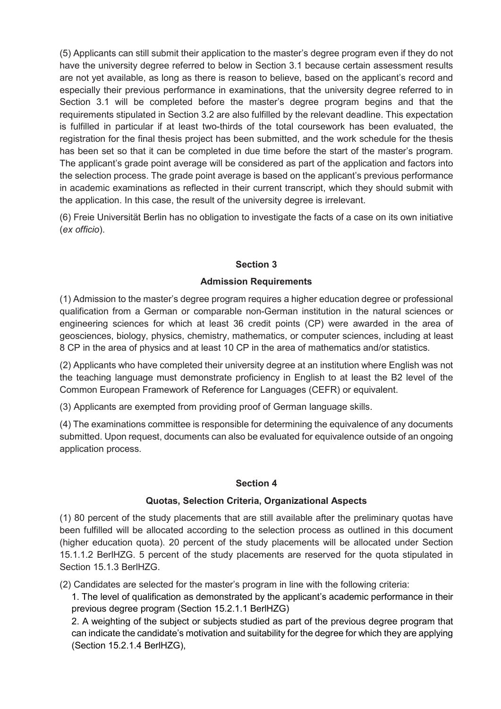(5) Applicants can still submit their application to the master's degree program even if they do not have the university degree referred to below in Section 3.1 because certain assessment results are not yet available, as long as there is reason to believe, based on the applicant's record and especially their previous performance in examinations, that the university degree referred to in Section 3.1 will be completed before the master's degree program begins and that the requirements stipulated in Section 3.2 are also fulfilled by the relevant deadline. This expectation is fulfilled in particular if at least two-thirds of the total coursework has been evaluated, the registration for the final thesis project has been submitted, and the work schedule for the thesis has been set so that it can be completed in due time before the start of the master's program. The applicant's grade point average will be considered as part of the application and factors into the selection process. The grade point average is based on the applicant's previous performance in academic examinations as reflected in their current transcript, which they should submit with the application. In this case, the result of the university degree is irrelevant.

(6) Freie Universität Berlin has no obligation to investigate the facts of a case on its own initiative (*ex officio*).

## **Section 3**

## **Admission Requirements**

(1) Admission to the master's degree program requires a higher education degree or professional qualification from a German or comparable non-German institution in the natural sciences or engineering sciences for which at least 36 credit points (CP) were awarded in the area of geosciences, biology, physics, chemistry, mathematics, or computer sciences, including at least 8 CP in the area of physics and at least 10 CP in the area of mathematics and/or statistics.

(2) Applicants who have completed their university degree at an institution where English was not the teaching language must demonstrate proficiency in English to at least the B2 level of the Common European Framework of Reference for Languages (CEFR) or equivalent.

(3) Applicants are exempted from providing proof of German language skills.

(4) The examinations committee is responsible for determining the equivalence of any documents submitted. Upon request, documents can also be evaluated for equivalence outside of an ongoing application process.

#### **Section 4**

#### **Quotas, Selection Criteria, Organizational Aspects**

(1) 80 percent of the study placements that are still available after the preliminary quotas have been fulfilled will be allocated according to the selection process as outlined in this document (higher education quota). 20 percent of the study placements will be allocated under Section 15.1.1.2 BerlHZG. 5 percent of the study placements are reserved for the quota stipulated in Section 15.1.3 BerlHZG.

(2) Candidates are selected for the master's program in line with the following criteria:

1. The level of qualification as demonstrated by the applicant's academic performance in their previous degree program (Section 15.2.1.1 BerlHZG)

2. A weighting of the subject or subjects studied as part of the previous degree program that can indicate the candidate's motivation and suitability for the degree for which they are applying (Section 15.2.1.4 BerlHZG),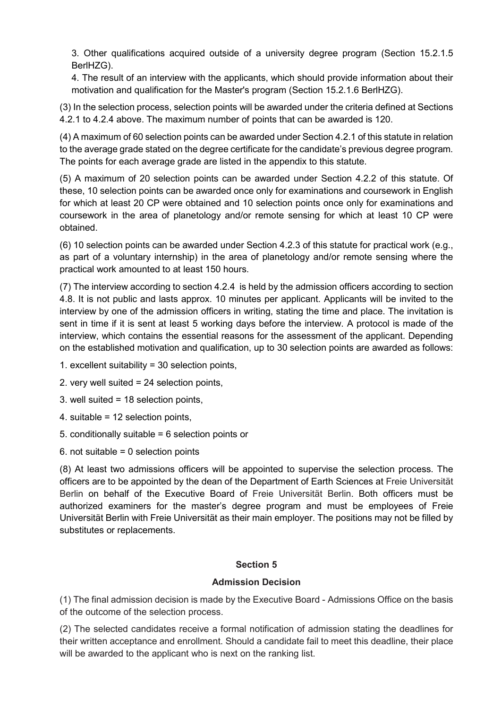3. Other qualifications acquired outside of a university degree program (Section 15.2.1.5 BerlHZG).

4. The result of an interview with the applicants, which should provide information about their motivation and qualification for the Master's program (Section 15.2.1.6 BerlHZG).

(3) In the selection process, selection points will be awarded under the criteria defined at Sections 4.2.1 to 4.2.4 above. The maximum number of points that can be awarded is 120.

(4) A maximum of 60 selection points can be awarded under Section 4.2.1 of this statute in relation to the average grade stated on the degree certificate for the candidate's previous degree program. The points for each average grade are listed in the appendix to this statute.

(5) A maximum of 20 selection points can be awarded under Section 4.2.2 of this statute. Of these, 10 selection points can be awarded once only for examinations and coursework in English for which at least 20 CP were obtained and 10 selection points once only for examinations and coursework in the area of planetology and/or remote sensing for which at least 10 CP were obtained.

(6) 10 selection points can be awarded under Section 4.2.3 of this statute for practical work (e.g., as part of a voluntary internship) in the area of planetology and/or remote sensing where the practical work amounted to at least 150 hours.

(7) The interview according to section 4.2.4 is held by the admission officers according to section 4.8. It is not public and lasts approx. 10 minutes per applicant. Applicants will be invited to the interview by one of the admission officers in writing, stating the time and place. The invitation is sent in time if it is sent at least 5 working days before the interview. A protocol is made of the interview, which contains the essential reasons for the assessment of the applicant. Depending on the established motivation and qualification, up to 30 selection points are awarded as follows:

- 1. excellent suitability = 30 selection points,
- 2. very well suited = 24 selection points,
- 3. well suited = 18 selection points,
- 4. suitable = 12 selection points,
- 5. conditionally suitable = 6 selection points or
- 6. not suitable  $= 0$  selection points

(8) At least two admissions officers will be appointed to supervise the selection process. The officers are to be appointed by the dean of the Department of Earth Sciences at Freie Universität Berlin on behalf of the Executive Board of Freie Universität Berlin. Both officers must be authorized examiners for the master's degree program and must be employees of Freie Universität Berlin with Freie Universität as their main employer. The positions may not be filled by substitutes or replacements.

# **Section 5**

#### **Admission Decision**

(1) The final admission decision is made by the Executive Board - Admissions Office on the basis of the outcome of the selection process.

(2) The selected candidates receive a formal notification of admission stating the deadlines for their written acceptance and enrollment. Should a candidate fail to meet this deadline, their place will be awarded to the applicant who is next on the ranking list.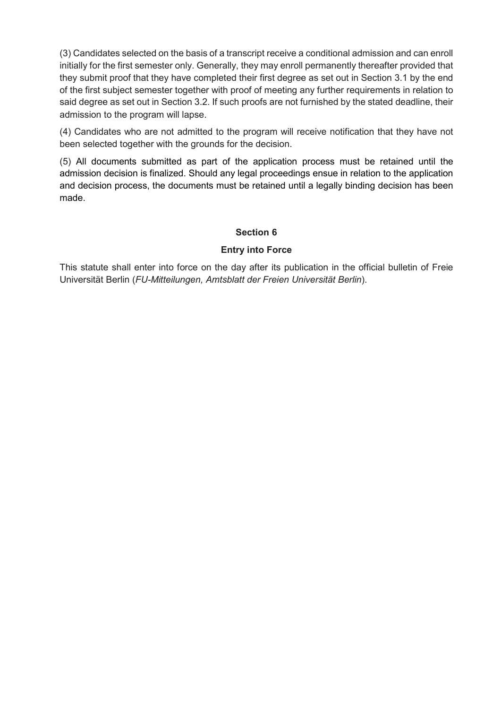(3) Candidates selected on the basis of a transcript receive a conditional admission and can enroll initially for the first semester only. Generally, they may enroll permanently thereafter provided that they submit proof that they have completed their first degree as set out in Section 3.1 by the end of the first subject semester together with proof of meeting any further requirements in relation to said degree as set out in Section 3.2. If such proofs are not furnished by the stated deadline, their admission to the program will lapse.

(4) Candidates who are not admitted to the program will receive notification that they have not been selected together with the grounds for the decision.

(5) All documents submitted as part of the application process must be retained until the admission decision is finalized. Should any legal proceedings ensue in relation to the application and decision process, the documents must be retained until a legally binding decision has been made.

#### **Section 6**

## **Entry into Force**

This statute shall enter into force on the day after its publication in the official bulletin of Freie Universität Berlin (*FU-Mitteilungen, Amtsblatt der Freien Universität Berlin*).